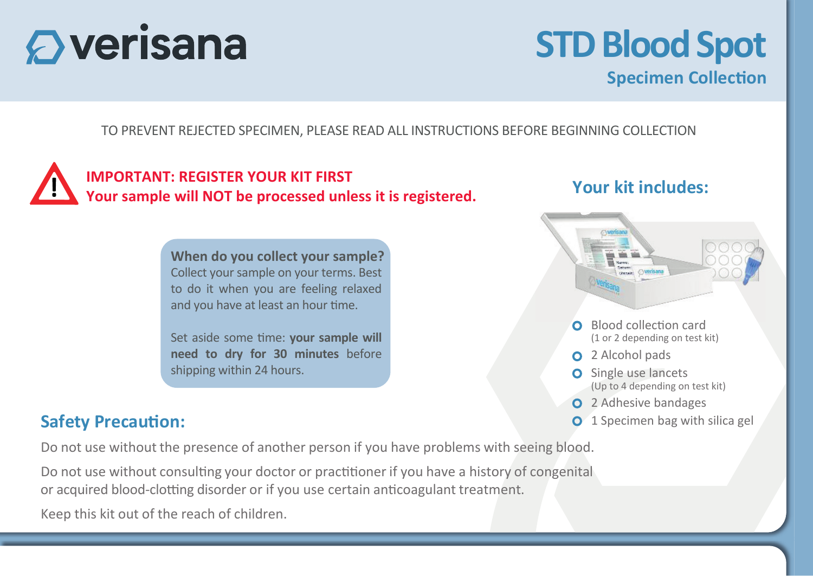# $\mathbf \mathbf{\Omega}$  verisana

# **STD Blood Spot Specimen Collection**

TO PREVENT REJECTED SPECIMEN, PLEASE READ ALL INSTRUCTIONS BEFORE BEGINNING COLLECTION



#### **When do you collect your sample?** Collect your sample on your terms. Best to do it when you are feeling relaxed and you have at least an hour time.

Set aside some time: **your sample will need to dry for 30 minutes** before shipping within 24 hours.

#### **Safety Precaution:**

Do not use without the presence of another person if you have problems with seeing blood.

Do not use without consulting your doctor or practitioner if you have a history of congenital or acquired blood-clotting disorder or if you use certain anticoagulant treatment.

Keep this kit out of the reach of children.

### **Your kit includes:**



- **O** Single use lancets (Up to 4 depending on test kit)
- **Q** 2 Adhesive bandages
- **O** 1 Specimen bag with silica gel